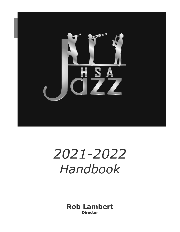

# *2021-2022 Handbook*

**Rob Lambert Director**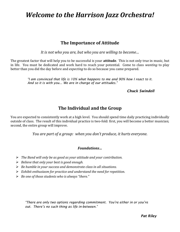## *Welcome to the Harrison Jazz Orchestra!*

## **The Importance of Attitude**

*It is not who you are, but who you are willing to become…*

The greatest factor that will help you to be successful is your **attitude**. This is not only true in music, but in life. You must be dedicated and work hard to reach your potential. Come to class *wanting* to play better than you did the day before and *expecting* to do so because you came prepared.

> *"I am convinced that life is 10% what happens to me and 90% how I react to it. And so it is with you... We are in charge of our attitudes."*

## *Chuck Swindoll*

## **The Individual and the Group**

You are expected to consistently work at a high level. You should spend time daily practicing individually outside of class. The result of this individual practice is two-fold: first, you will become a better musician; second, the entire group will improve.

*You are part of a group: when you don't produce, it hurts everyone.*

## *Foundations…*

- *The Band will only be as good as your attitude and your contribution.*
- *Believe that only your best is good enough.*
- *Be humble in your success and demonstrate class in all situations.*
- *Exhibit enthusiasm for practice and understand the need for repetition.*
- *Be one of those students who is always "there."*

*"There are only two options regarding commitment. You're either in or you're out. There's no such thing as life in-between."*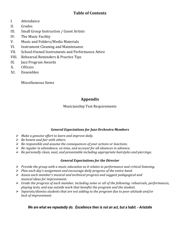- I. Attendance
- II. Grades
- III. Small Group Instruction / Guest Artists
- IV. The Music Facility
- V. Music and Folders/Media Materials
- VI. Instrument Cleaning and Maintenance
- VII. School-Owned Instruments and Performance Attire
- VIII. Rehearsal Reminders & Practice Tips
- IX. Jazz Program Awards
- X. Officers
- XI. Ensembles

Miscellaneous Items

## **Appendix**

## Musicianship Test Requirements

## *General Expectations for Jazz Orchestra Members*

- *Make a genuine effort to learn and improve daily.*
- *Be honest and fair with others.*
- *Be responsible and assume the consequences of your actions or inactions.*
- *Be regular in attendance, on time, and account for all absences in advance.*
- *Be personally clean, neat, and presentable including appropriate hairstyles and piercings.*

## *General Expectations for the Director*

- *Provide the group with a music education as it relates to performance and critical listening.*
- *Plan each day's assignment and encourage daily progress of the entire band.*
- *Assess each member's musical and technical progress and suggest pedagogical and musical ideas for improvement.*
- *Grade the progress of each member, including some or all of the following: rehearsals, performances, playing tests, and any outside work that benefits the program and the student.*
- *Separate/dismiss students that are not adding to the program due to poor attitude and/or lack of improvement.*

## *We are what we repeatedly do. Excellence then is not an act, but a habit. - Aristotle*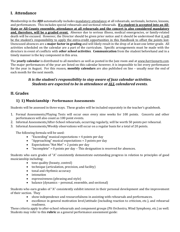## **I. Attendance**

Membership in the *HJO* automatically includes mandatory attendance at all rehearsals, sectionals, lectures, lessons, and performances. This includes special rehearsals and sectional rehearsals. **If a student is accepted into an All-State or All-County ensemble, attendance at all rehearsals and the concert is also considered mandatory and, therefore, will be a graded event.** Absence due to serious illness, medical emergencies, or family-related death will be excused. However, the Director should be given prior notice and it should be understood that it will be the student's responsibility to apply the extra-credit opportunities in this Handbook to offset the points lost. Unexcused absences are a **major factor in grading** and will likely result in the drop of at least one letter grade. All activities scheduled on the calendar are a part of the curriculum. Specific arrangements must be made with the directors in event of conflicts with *other school activities*. **Communication** from the student beforehand and in a timely manner is the key component in this area.

The **yearly calendar** is distributed to all members as well as posted in the Jazz room and at *www.harrisonarts.com*. The major performances of the year are listed on this calendar however, it is impossible to list every performance for the year in August. For this reason, **monthly calendars** are also published on line – usually near the end of each month for the next month.

## *It is the student's responsibility to stay aware of Jazz calendar activities. Students are expected to be in attendance at ALL calendared events.*

## **II. Grades**

## **1) 1) Musicianship - Performance Assessments**

Students will be assessed in three ways. These grades will be included separately in the teacher's gradebook.

- 1. Formal Assessments/Playing Tests will occur once every nine weeks for 100 points. Concerts and other performances will also count as 100 point events.
- 2. Informal Assessments/After-School rehearsals, occurring regularly, will be worth 50 points per rehearsal.
- 3. Informal Assessments/Weekly observations will occur on a regular basis for a total of 20 points.

The following formula will be used:

- "Exceeding" musical expectations = 4 points per day
- "Approaching" musical expectations = 3 points per day
- Expectations "Not Met" = 2 points per day
- "Incomplete" = 0 points per day  $-$  This designation is reserved for absences.

Students who earn grades of "A" consistently demonstrate outstanding progress in relation to principles of good musicianship including:

- tone quality (beauty, control)
- technique (articulation, precision, and facility)
- tonal and rhythmic accuracy
- intonation
- expressiveness (phrasing and style)
- balance (dynamics personal, ensemble, and sectional)

Students who earn grades of "A" consistently exhibit interest in their personal development and the improvement of their section. They

- show independence and resourcefulness in assisting with rehearsals and performances.
- excellence in general motivation level/attitude (including reaction to criticism, etc.), and rehearsal readiness.

These criteria apply to after-school rehearsals and component groups (Pit Orchestra, Wind Symphony, etc.) as well. Students may refer to this **rubric** as a general performance assessment guide: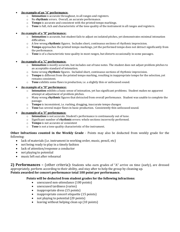#### **An example of an "A" performance:**

- o **Intonation** is accurate throughout, in all ranges and registers.
- o No **rhythmic** errors. Overall, an accurate performance.
- o **Tempo** is accurate and consistent with the printed tempo markings.
- o **Tone** is full, rich and characteristic of the tone quality of the instrument in all ranges and registers.

#### **An example of a "B" performance:**

- o **Intonation** is accurate, but student fails to adjust on isolated pitches, yet demonstrates minimal intonation difficulties.
- o A few wrong **rhythmic** figures. Includes short, continuous sections of rhythmic imprecision.
- o **Tempo** approaches the printed tempo markings, yet the performed tempo does not detract significantly from the performance.
- o **Tone** is of a characteristic tone quality in most ranges, but distorts occasionally in some passages.

#### **An example of a "C" performance:**

- o **Intonation** is mostly accurate, but includes out of tune notes. The student does not adjust problem pitches to an acceptable standard of intonation.
- o Some wrong **rhythmic** figures. Included short, continuous sections of rhythmic imprecision.
- o **Tempo** is different from the printed tempo marking, resulting in inappropriate tempo for the selection, yet remains consistent.
- o **Tone** exhibits some flaws in production, i.e. a slightly thin or unfocused sound.

#### **An example of a "D" performance:**

- o **Intonation** exhibits a basic sense of intonation, yet has significant problems. Student makes no apparent attempt at adjustment of problem pitches.
- o Many wrong **rhythmic** figures that detracted from overall performance. Student was unable to complete the passage.
- o **Tempo** is inconsistent, i.e. rushing, dragging, inaccurate tempo changes
- o **Tone** has several major flaws in basic production. Consistently thin unfocused sound.

#### **An example of a "F" performance:**

- o **Intonation** is not accurate. Student's performance is continuously out of tune.
- o Significant number of **rhythmic** errors: whole sections incorrectly performed.
- o **Tempo** is not accurate or consistent
- o **Tone** is not a tone quality characteristic of the instrument.

**Other Infractions counted in the Weekly Grade** - Points may also be deducted from weekly grade for the following:

- lack of materials (i.e. instrument in working order, music, pencil, etc)
- not being ready to play in a timely fashion
- lack of attention/response a conductor
- not playing to potential
- music left out after rehearsal

**2) Performances –** (other criteria)**:** Students who earn grades of "A" arrive on time (early), are dressed appropriately, perform according to their ability, and stay after to help the group by cleaning up. **Points awarded for concert performance total 100 point per performance.**

#### **Points will be deducted from student grades for the following infractions:**

- unexcused non-attendance (100 points)
- unexcused tardiness (varies)
- inappropriate dress (15 points)
- inappropriate concert etiquette (15 points)
- not playing to potential (20 points)
- leaving without helping clean up (10 points)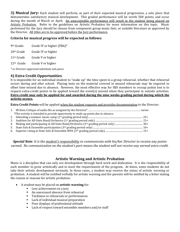**3) Musical Jury:** Each student will perform, as part of their expected musical progression, a solo piece that demonstrates satisfactory musical development. This graded performance will be worth 500 points, and occur during the month of March or April. An unacceptable performance will result in the student being placed on Artistic Probation. Refer to the guidelines on Artistic Probation for more information on this topic. Music performed for the Jury should be chosen from component group music lists, or suitable literature as approved by the Director. All titles are to be approved before the Jury performance.

#### **Criteria for musical progress will be expected as follows:**

| 9 <sup>th</sup> Grade: | Grade IV or higher (FBA)* |
|------------------------|---------------------------|
| 10 <sup>th</sup> Grade | Grade IV or higher        |
| 11 <sup>th</sup> Grade | Grade V or higher         |
| $12th$ Grade           | Grade V or higher         |
|                        |                           |

*\* or Director-approved substitute solo piece.*

## **4) Extra Credit Opportunities**

It is impossible for an individual student to "make up" the time spent in a group rehearsal, whether that rehearsal occurs during and after school. Playing tests on the material covered in missed rehearsals may be required to offset time missed due to absence. However, the most effective way for HJO members to recoup points lost is to request extra-credit points to be applied toward the event(s) missed when they participate in outside activities. **Extra credit may only be applied for and awarded during the nine weeks grading period during which the activity occurs.**

**Extra Credit Points** will be applied when the student requests and provides documentation to the Director:

| *This activity is intended to provide opportunity to make up points due to absence. |  |
|-------------------------------------------------------------------------------------|--|
|                                                                                     |  |
|                                                                                     |  |
|                                                                                     |  |
|                                                                                     |  |
|                                                                                     |  |

*Special Note: It is the student's responsibility to communicate with his/her Director to receive any points earned. No communication on the student's part means the student will not receive any earned extra credit.*

#### **Artistic Warning and Artistic Probation**

Music is a discipline that can only see development through hard work and dedication. It is the responsibility of each member to grow artistically and to meet the requirements of the program. At times, some students do not take their artistic development seriously. In these cases, a student may receive the status of artistic warning or probation. A student will be notified verbally for artistic warning and the parents will be notified by a letter stating the reason or reasons for artistic probation.

- A student may be placed on **artistic warning** for:
	- **Low achievement on a jury**
	- An unexcused absence from rehearsal
	- **Tardiness to rehearsals or performances**
	- **Lack of individual musical preparation**
	- Poor displays of professional attitude
	- Lack of respect toward ensemble members and/or staff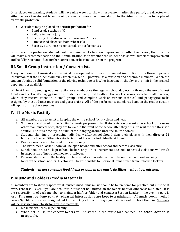Once placed on warning, students will have nine weeks to show improvement. After this period, the director will either remove the student from warning status or make a recommendation to the Administration as to be placed on artistic probation.

- A student may be placed on **artistic probation** for:
	- Band grade reaches a "C"
	- Failure to pass a jury
	- Receiving the status of artistic warning 2 times
	- 3 unexcused absences from rehearsals
	- **Excessive tardiness to rehearsals or performances**

Once placed on probation, students will have nine weeks to show improvement. After this period, the directors will make a recommendation to the Administration as to whether the student has shown sufficient improvement and be fully reinstated, face further correction, or be removed from the program.

## **III. Small Group Instruction / Guest Artists**

A key component of musical and technical development is private instrument instruction. It is through private instruction that the student will truly reach his/her full potential as a musician and ensemble member. When the student obtains a solid foundation in the playing technique of his/her instrument, the sky is the limit in the musical opportunities available.

While at Harrison, small group instruction over-and-above the regular school day occurs through the use of Guest Artists and Section/Pedagogy Coaches. Students are required to attend the work sessions, sometimes after school, where they receive attention in small groups and complete work on various technical and pedagogical tasks assigned by these adjunct teachers and guest artists. All of the performance standards listed in the grades section will apply during these sessions.

## **IV. The Music Facility**

- 1. **All** members are to assist in keeping the entire school facility clean and neat.
- 2. Students are allowed in the facility for music purposes only. If students are present after school for reasons other than musical ones, they are to wait in the front of the school after they finish to wait for the Harrison shuttle. The music facility is off limits for "hanging around until the shuttle comes."
- 3. Students planning on practicing individually after school should clear their plans with their director 24 hours in advance. Otherwise students should practice individually at home.
- 4. Practice rooms are to be used for practice only.
- 5. The Instrument Locker Room will be open before and after school and before class only.
- 6. Lunch items are to be kept in book lockers only NOT Instrument Lockers. Repeated violations will result in suspension of instrument locker privileges.
- 7. Personal items left in the facility will be viewed as unwanted and will be removed without warning.
- 8. Neither the school nor its Directors will be responsible for personal items stolen from unlocked lockers.

## *Students will not consume food/drink or gum in the music facilities without permission.*

## **V. Music and Folders/Media Materials**

All members are to show respect for all music issued. This music should be taken home for practice, but must be at every rehearsal - even if you are not. Music must not be "stuffed" in the folder; bent or otherwise mutilated. It is the responsibility of each member to maintain his/her folder and contact a Section Leader in the event a part is lost. **This must be done so that rehearsal interruptions are kept to a minimum.** All music books, method books, S/E literature may be signed out for use. Only a Director may sign materials out or check them in. Students will be assessed monetarily for any lost materials.

- Make marks neatly in pencil only.
- When not in use, the concert folders will be stored in the music folio cabinet. **No other location is acceptable.**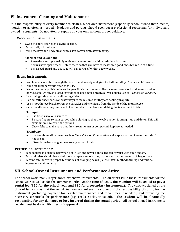## **VI. Instrument Cleaning and Maintenance**

It is the responsibility of every member to clean his/her own instrument (especially school-owned instruments) monthly or as often as needed. Students and parents should seek out a professional repairman for individually owned instruments. Do not attempt repairs on your own without proper guidance.

#### **Woodwind Instruments**

- Swab the bore after each playing session.
- Periodically oil the keys.
- Wipe the keys and body clean with a soft cotton cloth after playing.

#### **Clarinet and Saxophone**

- Rinse the mouthpiece daily with warm water and avoid mouthpiece brushes.
- Always have spare reeds. Rotate them so that you have at least three good ones broken in at a time.
- Buy a reed guard and use it. It will pay for itself within a few weeks.

#### **Brass Instruments**

- Run lukewarm water through the instrument weekly and give it a bath monthly. Never use **hot** water.
- Wipe off all fingerprints after each use.
- Never use metal polish on brass lacquer finish instruments. Use a clean cotton cloth and water to wipe horns clean. On silver-plated instruments, use a non-abrasive silver polish such as *Twinkle*, or *Wright's*.
- Use tuning slide grease on all tuning slides.
- Periodically check corks on water keys to make sure that they are sealing properly.
- Use a mouthpiece brush to remove particles and chemicals from the inside of the mouthpiece.
- Occasionally vacuum your case to keep sand and dirt from scratching the instrument finish.

#### **Trumpet**

- Use fresh valve oil as needed.
- Be sure fingers remain curved while playing so that the valve action is straight up and down. This will avoid uneven wear on the pistons.
- Check felts to make sure that they are not worn or compacted. Replace as needed.

#### **Trombone**

- Use trombone slide cream such as *Super-Slick* or *Trombontine* and a spray bottle of water on slide. Do not use oil.
- If trombone has a trigger, use rotary valve oil only.

#### **Percussion Instruments**

- Keep mallets in a plastic bag when not in use and never handle the felt or yarn with your fingers.
- Percussionists should have their own complete set of sticks, mallets, etc in their own stick bag or case.
- Become familiar with proper techniques of changing heads (i.e. the "star" method), tuning and routine instrument maintenance.

## **VII. School-Owned Instruments and Performance Attire**

The school owns many larger, more expensive instruments. The directors issue these instruments for the school year as well as for the summer months. **At the time of issue, the member will be asked to pay a rental fee (\$50 for the school year and \$20 for a secondary instrument,).** The contract signed at the time of issue states that the rental fee does not relieve the student of the responsibility of caring for the instrument (including payment for regular maintenance and repair fees if needed), and providing the necessary essentials for performance (e.g. reeds, sticks, valve oil). **The student will be financially responsible for any damages or loss incurred during the rental period.** All school-owned instruments repairs must be done with director's approval.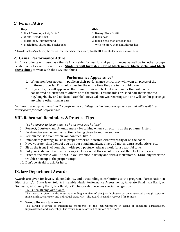## **1) Formal Attire**

1. Black Tuxedo Jacket/Pants\* 1. Dressy Black Outfit

- 2. White Tuxedo shirt 2. Black hose
- 
- 

#### **Boys Girls**

- 
- 
- 3. Black Tie & Cummerbund 3. Black close-toed dress shoes 4. Black dress shoes and black socks with no more than a moderate heel

\* Tuxedo jackets/pants may be rented from the school for a yearly fee **(\$50)** if the student does not own such.

## **2) Casual Performance Attire**

All *Jazz* students will purchase the HSA Jazz shirt for less formal performances as well as for other grouprelated activities and travel times. **Students will furnish a pair of black pants, black socks, and black dress shoes** to wear with the HSA Jazz shirts.

## **Performance Appearance\***

- 1. When members appear in public in their performance attire, they will wear all pieces of the uniform properly. This holds true for the entire time they are in the public eye.
- 2. Boys and girls will appear well-groomed. Hair will be kept in a manner that will not be considered a distraction to others or to the music. This includes brushed hair that is not too big/long/bushy and no facial "stubble." Boys will not wear earrings. No one will exhibit piercings anywhere other than in ears.

*\*Failure to comply may result in the performance privileges being temporarily revoked and will result in a lower grade for that performance.*

## **VIII. Rehearsal Reminders & Practice Tips**

- 1. *"To be early is to be on time. To be on time is to be late!"*
- 2. Respect, Courtesy, and Attentiveness No talking when a director is on the podium. Listen.
- 3. Be attentive even when instruction is being given to another section.
- 4. Remain focused even when you don't feel like it.
- 5. Immediately arrange music in proper order as indicated either verbally or on the board.
- 6. Have your pencil in front of you on your stand and always have all mutes, extra reeds, sticks, etc.
- 7. Sit on the front ¼ of your chair with good posture. Always work for a beautiful tone.
- 8. Put your instrument and music away in its locker at the end of rehearsal, then lock the locker.
- 9. Practice the music you CANNOT play. Practice it slowly and with a metronome. Gradually work the trouble spots up to the proper tempo.
- 10. Don't be afraid to ask for help.

## **IX. Jazz Department Awards**

Awards are given for loyalty, dependability, and outstanding contributions to the program. Participation in District and/or State level Solo & Ensemble Music Performance Assessments, All-State Band, Jazz Band, or Orchestra, All-County Band, Jazz Band, or Orchestra also receives special recognition.

1. Louis Armstrong Jazz Award

This award is given to the most outstanding member of the Jazz Orchestra as demonstrated through superior musicianship, character, and individual creativity. The award is usually reserved for Seniors.

2. Woody Herman Jazz Award

This award is given to outstanding member(s) of the Jazz Orchestra in terms of ensemble participation, improvisation, and leadership. The award may be offered to Juniors or Seniors.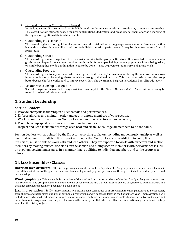#### 3. Leonard Bernstein Musicianship Award

In his long career, Bernstein made an indelible mark on the musical world as a conductor, composer, and teacher. This award honors students whose musical contributions, dedication, and creativity set them apart as deserving of the highest recognition of their achievements.

#### 4. Outstanding Musicianship

This award is given in recognition of superior musical contribution to the group through solo performance, section leadership, and/or dependability in relation to individual musical performance. It may be given to students from all grade levels.

5. Outstanding Service

This award is given in recognition of extra-musical service to the group or Directors. It is awarded to members who go above and beyond the average contribution through; for example, helping move equipment without being asked, or simply being there to do anything that needs to be done. It may be given to students from all grade levels.

#### 6. Outstanding Progress

This award is given to any musician who makes great strides on his/her instrument during the year; one who shows intense dedication to becoming a better musician through individual practice. This is a student who makes the group better because he/she works hard to improve every day. The award may be given to students from all grade levels.

#### 7. Master Musicianship Recognition

Special recognition is awarded to any musician who completes the *Master Musician Test*. The requirements may be found in the back of this handbook.

## **X. Student Leadership**

#### **Section Leaders**

- 1. Provide energetic leadership in all rehearsals and performances.
- 2. Enforce all rules and maintain order and equity among members of your section.
- 3. Work in conjunction with other Section Leaders and the Directors when necessary.
- 4. Promote group spirit (*esprit de corps*) and positive morale.
- 5. Inspect and keep instrument storage area neat and clean. Encourage all members to do the same.

Section Leaders will appointed by the Director according to factors including model musicianship as well as personal leadership qualities. It is important to note that Section Leaders, in addition to being fine musicians, must be able to work with and lead others. They are expected to work with directors and section members by making musical decisions for the section and aiding section members with performance issues by problem-solving music parts in a manner that is uplifting to individual members and to the group as a whole.

## **XI. Jazz Ensembles/Classes**

**Harrison Jazz Orchestra** – This is the primary ensemble in the Jazz Department. The group focuses on Jazz ensemble music from all historical eras of the genre with an emphasis on high-quality group performance through dedicated individual practice and musicianship.

**Wind Symphony** – This ensemble is comprised of the wind and percussion students of the *Harrison Symphony* and the *Harrison Jazz Orchestra*. The group focuses on band and wind ensemble literature that will expose players to symphonic wind literature and challenge all players in terms of pedagogical development.

**Jazz Improvisation I & II** – Improvisation I will include basic techniques of improvisation including diatonic and modal scales, scale choices, and basic major and minor harmonic progressions and is generally taken in the Sophomore year. Improvisation II will include more advanced techniques of improvisation including diatonic and modal scales, scale choices, and advanced major and minor harmonic progressions and is generally taken in the Junior year. Both classes will include instruction in general Music History as well as the History of Jazz.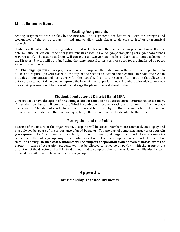## **Miscellaneous Items**

#### **Seating Assignments**

Seating assignments are set solely by the Director. The assignments are determined with the strengths and weaknesses of the entire group in mind and to allow each player to develop to his/her own musical potential.

Students will participate in seating auditions that will determine their section chair placement as well as the determination of Section Leaders for Jazz Orchestra as well as Wind Symphony (along with Symphony Winds & Percussion). The seating audition will consist of all twelve major scales and a musical etude selected by the Director. Players will be judged using the same musical criteria as those used for grading listed on pages 4-5 of this handbook.

The **Challenge System** allows players who wish to improve their standing in the section an opportunity to do so and requires players closer to the top of the section to defend their chairs. In short, the system provides opportunities and keeps every "on their toes" with a healthy sense of competition that allows the entire group to maintain and even improve the level of musical performance. Members who wish to improve their chair placement will be allowed to challenge the player one seat ahead of them.

#### **Student Conductor at District Band MPA**

Concert Bands have the option of presenting a student conductor at District Music Performance Assessment. The student conductor will conduct the Wind Ensemble and receive a rating and comments after the stage performance. The student conductor will audition and be chosen by the Director and is limited to current junior or senior students in the Harrison Symphony. Rehearsal time will be decided by the Director.

## **Perception and the Public**

Because of the nature of the organization, discipline will be strict. Members are constantly on display and must always be aware of the importance of good behavior. You are part of something larger than yourself: you represent the *Jazz Orchestra*, the school, and our community at large. Bad conduct casts a negative reflection on the entire group. Any student who casts discredit on the group by his/her conduct, in or out of class, is a liability. **In such cases, students will be subject to separation from or even dismissal from the group.** In cases of separation, students will not be allowed to rehearse or perform with the group at the discretion of the director and will instead be required to complete alternative assignments. Dismissal means the students will cease to be a member of the group.

## **Appendix**

## **Musicianship Test Requirements**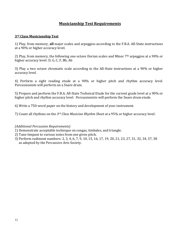## **Musicianship Test Requirements**

#### **3rd Class Musicianship Test**

1) Play, from memory, **all** major scales and arpeggios according to the F.B.A. All-State instructions at a 90% or higher accuracy level.

2) Play, from memory, the following one octave Dorian scales and Minor 7th arpeggios at a 90% or higher accuracy level: D, G, C, F, Bb, Ab

3) Play a two octave chromatic scale according to the All-State instructions at a 90% or higher accuracy level.

4) Perform a sight reading etude at a 90% or higher pitch and rhythm accuracy level. Percussionists will perform on a Snare drum.

5) Prepare and perform the F.B.A. All-State Technical Etude for the current grade level at a 90% or higher pitch and rhythm accuracy level. Percussionists will perform the Snare drum etude.

6) Write a 750-word paper on the history and development of your instrument.

7) Count all rhythms on the *3rd Class Musician Rhythm Sheet* at a 95% or higher accuracy level.

## *(Additional Percussion Requirements)*

- 1) Demonstrate acceptable technique on congas, timbales, and triangle.
- 2) Tune timpani to various notes from one given pitch.
- 3) Perform rudiment numbers: 2, 3, 4, 6, 7, 9, 10, 15, 16, 17, 19, 20, 21, 23, 27, 31, 32, 34, 37, 38 as adopted by the Percussive Arts Society.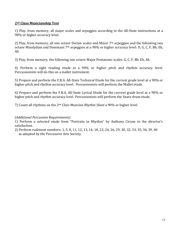#### **2nd Class Musicianship Test**

1) Play, from memory, all major scales and arpeggios according to the All-State instructions at a 90% or higher accuracy level.

2) Play, from memory, all one octave Dorian scales and Minor 7<sup>th</sup> arpeggios and the following one octave Mixolydian and Dominant 7th arpeggios at a 90% or higher accuracy level: D, G, C, F, Bb, Eb, Ab

3) Play, from memory, the following one octave Major Pentatonic scales: G, C, F, Bb, Eb, Ab

4) Perform a sight reading etude at a 90% or higher pitch and rhythm accuracy level. Percussionists will do this on a mallet instrument.

5) Prepare and perform the F.B.A. All-State Technical Etude for the current grade level at a 90% or higher pitch and rhythm accuracy level. Percussionists will perform the Mallet etude.

6) Prepare and perform the F.B.A. All-State Lyrical Etude for the current grade level at a 90% or higher pitch and rhythm accuracy level. Percussionists will perform the Snare drum etude.

7) Count all rhythms on the *2nd Class Musician Rhythm Sheet* a 90% or higher level.

#### *(Additional Percussion Requirements)*

1) Perform a selected etude from "Portraits in Rhythm" by Anthony Cirone to the director's satisfaction.

2) Perform rudiment numbers: 1, 5, 8, 11, 12, 13, 14, 18, 22, 24, 26, 29, 30, 32, 33, 35, 36, 39, 40 as adopted by the Percussive Arts Society.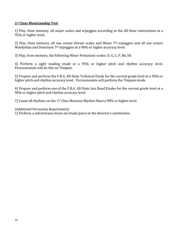#### **1st Class Musicianship Test**

1) Play, from memory, all major scales and arpeggios according to the All-State instructions at a 95% or higher level.

2) Play, from memory, all one octave Dorian scales and Minor 7th arpeggios and all one octave Mixolydian and Dominant 7<sup>th</sup> arpeggios at a 90% or higher accuracy level.

3) Play, from memory, the following Minor Pentatonic scales: D, G, C, F, Bb, Eb

4) Perform a sight reading etude at a 95% or higher pitch and rhythm accuracy level. Percussionists will do this on Timpani.

5) Prepare and perform the F.B.A. All-State Technical Etude for the current grade level at a 90% or higher pitch and rhythm accuracy level. Percussionists will perform the Timpani etude.

6) Prepare and perform one of the F.B.A. All-State Jazz Band Etudes for the current grade level at a 90% or higher pitch and rhythm accuracy level.

7) Count all rhythms on the *1st Class Musician Rhythm Sheet* a 90% or higher level.

#### *(Additional Percussion Requirement)*

1) Perform a selected jazz drum set etude/piece to the director's satisfaction.